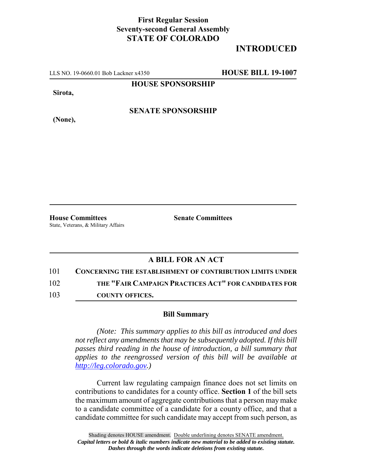## **First Regular Session Seventy-second General Assembly STATE OF COLORADO**

## **INTRODUCED**

LLS NO. 19-0660.01 Bob Lackner x4350 **HOUSE BILL 19-1007**

**HOUSE SPONSORSHIP**

**Sirota,**

**(None),**

**SENATE SPONSORSHIP**

**House Committees Senate Committees** State, Veterans, & Military Affairs

## **A BILL FOR AN ACT**

101 **CONCERNING THE ESTABLISHMENT OF CONTRIBUTION LIMITS UNDER** 102 **THE "FAIR CAMPAIGN PRACTICES ACT" FOR CANDIDATES FOR**

103 **COUNTY OFFICES.**

## **Bill Summary**

*(Note: This summary applies to this bill as introduced and does not reflect any amendments that may be subsequently adopted. If this bill passes third reading in the house of introduction, a bill summary that applies to the reengrossed version of this bill will be available at http://leg.colorado.gov.)*

Current law regulating campaign finance does not set limits on contributions to candidates for a county office. **Section 1** of the bill sets the maximum amount of aggregate contributions that a person may make to a candidate committee of a candidate for a county office, and that a candidate committee for such candidate may accept from such person, as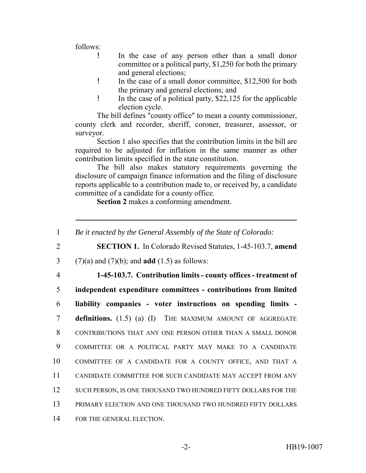follows:

- ! In the case of any person other than a small donor committee or a political party, \$1,250 for both the primary and general elections;
- ! In the case of a small donor committee, \$12,500 for both the primary and general elections; and
- ! In the case of a political party, \$22,125 for the applicable election cycle.

The bill defines "county office" to mean a county commissioner, county clerk and recorder, sheriff, coroner, treasurer, assessor, or surveyor.

Section 1 also specifies that the contribution limits in the bill are required to be adjusted for inflation in the same manner as other contribution limits specified in the state constitution.

The bill also makes statutory requirements governing the disclosure of campaign finance information and the filing of disclosure reports applicable to a contribution made to, or received by, a candidate committee of a candidate for a county office.

**Section 2** makes a conforming amendment.

 *Be it enacted by the General Assembly of the State of Colorado:* **SECTION 1.** In Colorado Revised Statutes, 1-45-103.7, **amend** (7)(a) and (7)(b); and **add** (1.5) as follows: **1-45-103.7. Contribution limits - county offices - treatment of independent expenditure committees - contributions from limited liability companies - voter instructions on spending limits - definitions.** (1.5) (a) (I) THE MAXIMUM AMOUNT OF AGGREGATE CONTRIBUTIONS THAT ANY ONE PERSON OTHER THAN A SMALL DONOR COMMITTEE OR A POLITICAL PARTY MAY MAKE TO A CANDIDATE COMMITTEE OF A CANDIDATE FOR A COUNTY OFFICE, AND THAT A CANDIDATE COMMITTEE FOR SUCH CANDIDATE MAY ACCEPT FROM ANY 12 SUCH PERSON, IS ONE THOUSAND TWO HUNDRED FIFTY DOLLARS FOR THE PRIMARY ELECTION AND ONE THOUSAND TWO HUNDRED FIFTY DOLLARS FOR THE GENERAL ELECTION.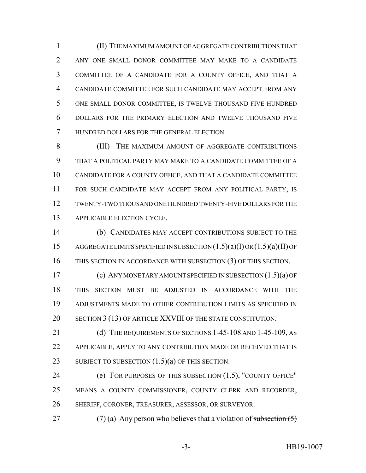(II) THE MAXIMUM AMOUNT OF AGGREGATE CONTRIBUTIONS THAT ANY ONE SMALL DONOR COMMITTEE MAY MAKE TO A CANDIDATE COMMITTEE OF A CANDIDATE FOR A COUNTY OFFICE, AND THAT A CANDIDATE COMMITTEE FOR SUCH CANDIDATE MAY ACCEPT FROM ANY ONE SMALL DONOR COMMITTEE, IS TWELVE THOUSAND FIVE HUNDRED DOLLARS FOR THE PRIMARY ELECTION AND TWELVE THOUSAND FIVE HUNDRED DOLLARS FOR THE GENERAL ELECTION.

 (III) THE MAXIMUM AMOUNT OF AGGREGATE CONTRIBUTIONS THAT A POLITICAL PARTY MAY MAKE TO A CANDIDATE COMMITTEE OF A CANDIDATE FOR A COUNTY OFFICE, AND THAT A CANDIDATE COMMITTEE FOR SUCH CANDIDATE MAY ACCEPT FROM ANY POLITICAL PARTY, IS TWENTY-TWO THOUSAND ONE HUNDRED TWENTY-FIVE DOLLARS FOR THE APPLICABLE ELECTION CYCLE.

 (b) CANDIDATES MAY ACCEPT CONTRIBUTIONS SUBJECT TO THE AGGREGATE LIMITS SPECIFIED IN SUBSECTION (1.5)(a)(I) OR (1.5)(a)(II) OF THIS SECTION IN ACCORDANCE WITH SUBSECTION (3) OF THIS SECTION.

 (c) ANY MONETARY AMOUNT SPECIFIED IN SUBSECTION (1.5)(a) OF THIS SECTION MUST BE ADJUSTED IN ACCORDANCE WITH THE ADJUSTMENTS MADE TO OTHER CONTRIBUTION LIMITS AS SPECIFIED IN 20 SECTION 3 (13) OF ARTICLE XXVIII OF THE STATE CONSTITUTION.

21 (d) THE REQUIREMENTS OF SECTIONS 1-45-108 AND 1-45-109, AS APPLICABLE, APPLY TO ANY CONTRIBUTION MADE OR RECEIVED THAT IS 23 SUBJECT TO SUBSECTION  $(1.5)(a)$  OF THIS SECTION.

 (e) FOR PURPOSES OF THIS SUBSECTION (1.5), "COUNTY OFFICE" MEANS A COUNTY COMMISSIONER, COUNTY CLERK AND RECORDER, SHERIFF, CORONER, TREASURER, ASSESSOR, OR SURVEYOR.

27 (7) (a) Any person who believes that a violation of subsection  $(5)$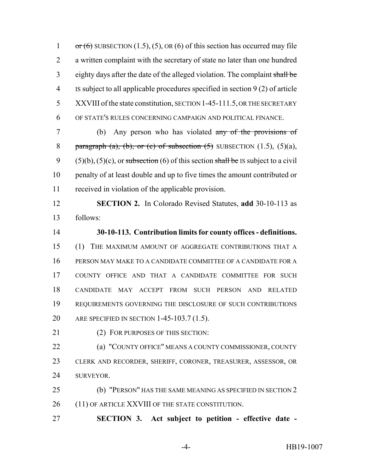1 or  $(6)$  SUBSECTION  $(1.5)$ ,  $(5)$ , OR  $(6)$  of this section has occurred may file a written complaint with the secretary of state no later than one hundred eighty days after the date of the alleged violation. The complaint shall be IS subject to all applicable procedures specified in section 9 (2) of article 5 XXVIII of the state constitution, SECTION 1-45-111.5, OR THE SECRETARY OF STATE'S RULES CONCERNING CAMPAIGN AND POLITICAL FINANCE.

 (b) Any person who has violated any of the provisions of 8 paragraph (a), (b), or (c) of subsection  $(5)$  SUBSECTION  $(1.5)$ ,  $(5)(a)$ , 9 (5)(b), (5)(c), or subsection (6) of this section shall be IS subject to a civil penalty of at least double and up to five times the amount contributed or received in violation of the applicable provision.

 **SECTION 2.** In Colorado Revised Statutes, **add** 30-10-113 as follows:

 **30-10-113. Contribution limits for county offices - definitions.** (1) THE MAXIMUM AMOUNT OF AGGREGATE CONTRIBUTIONS THAT A PERSON MAY MAKE TO A CANDIDATE COMMITTEE OF A CANDIDATE FOR A COUNTY OFFICE AND THAT A CANDIDATE COMMITTEE FOR SUCH CANDIDATE MAY ACCEPT FROM SUCH PERSON AND RELATED REQUIREMENTS GOVERNING THE DISCLOSURE OF SUCH CONTRIBUTIONS ARE SPECIFIED IN SECTION 1-45-103.7 (1.5).

21 (2) FOR PURPOSES OF THIS SECTION:

**(a) "COUNTY OFFICE" MEANS A COUNTY COMMISSIONER, COUNTY**  CLERK AND RECORDER, SHERIFF, CORONER, TREASURER, ASSESSOR, OR SURVEYOR.

 (b) "PERSON" HAS THE SAME MEANING AS SPECIFIED IN SECTION 2 26 (11) OF ARTICLE XXVIII OF THE STATE CONSTITUTION.

**SECTION 3. Act subject to petition - effective date -**

-4- HB19-1007